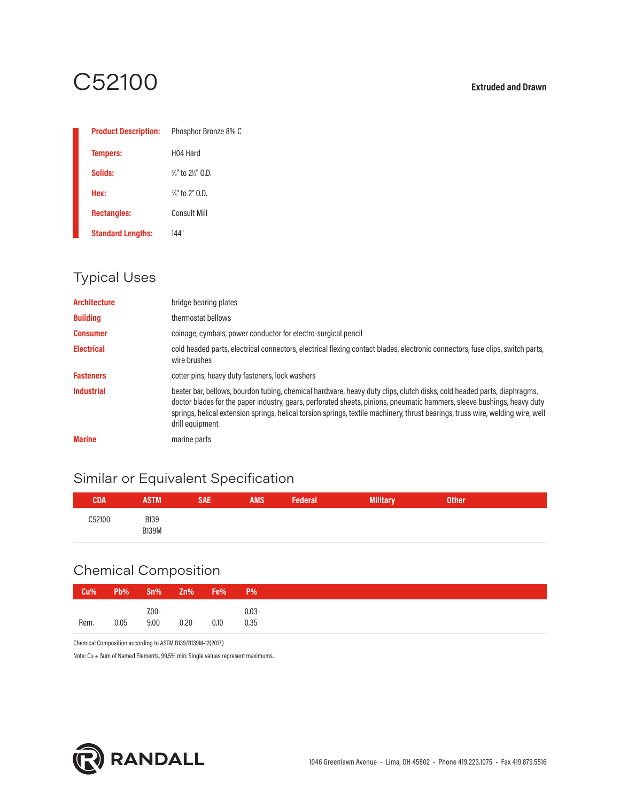# C52100 **Extruded and Drawn**

| <b>Product Description:</b> | Phosphor Bronze 8% C                    |
|-----------------------------|-----------------------------------------|
| <b>Tempers:</b>             | H <sub>04</sub> Hard                    |
| Solids:                     | $\frac{3}{8}$ " to $\frac{2}{9}$ " 0.D. |
| Hex:                        | $\frac{3}{8}$ " to 2" 0.D.              |
| <b>Rectangles:</b>          | Consult Mill                            |
| <b>Standard Lengths:</b>    | 144"                                    |

# Typical Uses

| <b>Architecture</b> | bridge bearing plates                                                                                                                                                                                                                                                                                                                                                                                   |
|---------------------|---------------------------------------------------------------------------------------------------------------------------------------------------------------------------------------------------------------------------------------------------------------------------------------------------------------------------------------------------------------------------------------------------------|
| <b>Building</b>     | thermostat bellows                                                                                                                                                                                                                                                                                                                                                                                      |
| <b>Consumer</b>     | coinage, cymbals, power conductor for electro-surgical pencil                                                                                                                                                                                                                                                                                                                                           |
| <b>Electrical</b>   | cold headed parts, electrical connectors, electrical flexing contact blades, electronic connectors, fuse clips, switch parts,<br>wire brushes                                                                                                                                                                                                                                                           |
| <b>Fasteners</b>    | cotter pins, heavy duty fasteners, lock washers                                                                                                                                                                                                                                                                                                                                                         |
| <b>Industrial</b>   | beater bar, bellows, bourdon tubing, chemical hardware, heavy duty clips, clutch disks, cold headed parts, diaphragms,<br>doctor blades for the paper industry, gears, perforated sheets, pinions, pneumatic hammers, sleeve bushings, heavy duty<br>springs, helical extension springs, helical torsion springs, textile machinery, thrust bearings, truss wire, welding wire, well<br>drill equipment |
| <b>Marine</b>       | marine parts                                                                                                                                                                                                                                                                                                                                                                                            |

# Similar or Equivalent Specification

| CDA         | STM                         | <b>SAE</b> | <b>AMS</b> | $-0.0000$<br><u><b>IVIIIII LUI</b></u> | <b>Other</b> |  |
|-------------|-----------------------------|------------|------------|----------------------------------------|--------------|--|
| 352100<br>. | <b>B139</b><br><b>B139M</b> |            |            |                                        |              |  |

# Chemical Composition

| Cu%  | Pb%<br>Sn%               | <b>Zn%</b> Fe% |      | $P\%$            |
|------|--------------------------|----------------|------|------------------|
| Rem. | $7.00 -$<br>9.00<br>0.05 | 0.20           | 0.10 | $0.03 -$<br>0.35 |

Chemical Composition according to ASTM B139/B139M-12(2017)

Note: Cu + Sum of Named Elements, 99.5% min. Single values represent maximums.

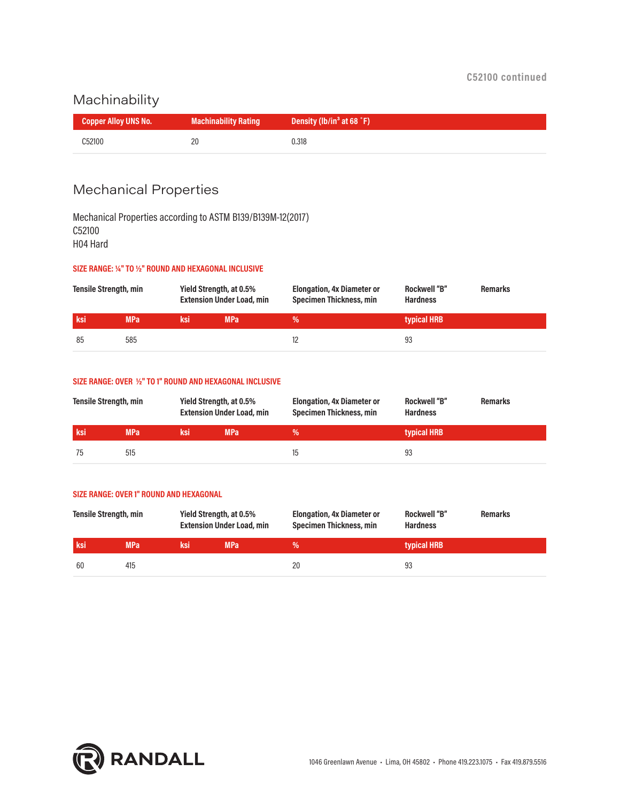### Machinability

| <b>Copper Alloy UNS No.</b> | <b>Machinability Rating</b> | Density (lb/in <sup>3</sup> at 68 °F) |
|-----------------------------|-----------------------------|---------------------------------------|
| C52100                      | -20                         | 0.318                                 |

# Mechanical Properties

Mechanical Properties according to ASTM B139/B139M-12(2017) C52100 H04 Hard

#### **SIZE RANGE: ¼" TO ½" ROUND AND HEXAGONAL INCLUSIVE**

| <b>Tensile Strength, min</b> |            | Yield Strength, at 0.5%<br><b>Extension Under Load, min</b> |            | <b>Elongation, 4x Diameter or</b><br><b>Specimen Thickness, min</b> | <b>Rockwell "B"</b><br><b>Hardness</b> | <b>Remarks</b> |
|------------------------------|------------|-------------------------------------------------------------|------------|---------------------------------------------------------------------|----------------------------------------|----------------|
| ksi                          | <b>MPa</b> | 'ksi                                                        | <b>MPa</b> |                                                                     | typical HRB                            |                |
| 85                           | 585        |                                                             |            |                                                                     | 93                                     |                |

#### **SIZE RANGE: OVER ½" TO 1" ROUND AND HEXAGONAL INCLUSIVE**

| <b>Tensile Strength, min</b> |            | Yield Strength, at 0.5% | <b>Extension Under Load, min</b> | <b>Elongation, 4x Diameter or</b><br><b>Specimen Thickness, min</b> | <b>Rockwell "B"</b><br><b>Hardness</b> | <b>Remarks</b> |
|------------------------------|------------|-------------------------|----------------------------------|---------------------------------------------------------------------|----------------------------------------|----------------|
| <b>ksi</b>                   | <b>MPa</b> | ˈksi                    | <b>MPa</b>                       | %                                                                   | typical HRB                            |                |
| 75                           | 515        |                         |                                  | 15                                                                  | 93                                     |                |

#### **SIZE RANGE: OVER 1" ROUND AND HEXAGONAL**

| <b>Tensile Strength, min</b> |            | Yield Strength, at 0.5% | <b>Extension Under Load, min</b> | <b>Elongation, 4x Diameter or</b><br><b>Specimen Thickness, min</b> | <b>Rockwell "B"</b><br><b>Hardness</b> | <b>Remarks</b> |
|------------------------------|------------|-------------------------|----------------------------------|---------------------------------------------------------------------|----------------------------------------|----------------|
| ksi                          | <b>MPa</b> | ksi                     | <b>MPa</b>                       | ℅                                                                   | typical HRB                            |                |
| -60                          | 415        |                         |                                  | 20                                                                  | 93                                     |                |